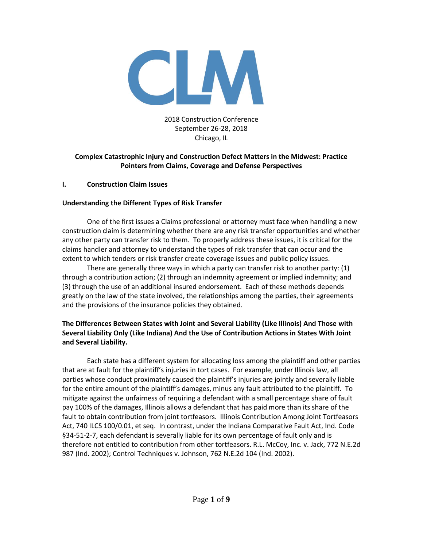

### 2018 Construction Conference September 26-28, 2018 Chicago, IL

# **Complex Catastrophic Injury and Construction Defect Matters in the Midwest: Practice Pointers from Claims, Coverage and Defense Perspectives**

### **I. Construction Claim Issues**

# **Understanding the Different Types of Risk Transfer**

One of the first issues a Claims professional or attorney must face when handling a new construction claim is determining whether there are any risk transfer opportunities and whether any other party can transfer risk to them. To properly address these issues, it is critical for the claims handler and attorney to understand the types of risk transfer that can occur and the extent to which tenders or risk transfer create coverage issues and public policy issues.

There are generally three ways in which a party can transfer risk to another party: (1) through a contribution action; (2) through an indemnity agreement or implied indemnity; and (3) through the use of an additional insured endorsement. Each of these methods depends greatly on the law of the state involved, the relationships among the parties, their agreements and the provisions of the insurance policies they obtained.

# **The Differences Between States with Joint and Several Liability (Like Illinois) And Those with Several Liability Only (Like Indiana) And the Use of Contribution Actions in States With Joint and Several Liability.**

Each state has a different system for allocating loss among the plaintiff and other parties that are at fault for the plaintiff's injuries in tort cases. For example, under Illinois law, all parties whose conduct proximately caused the plaintiff's injuries are jointly and severally liable for the entire amount of the plaintiff's damages, minus any fault attributed to the plaintiff. To mitigate against the unfairness of requiring a defendant with a small percentage share of fault pay 100% of the damages, Illinois allows a defendant that has paid more than its share of the fault to obtain contribution from joint tortfeasors. Illinois Contribution Among Joint Tortfeasors Act, 740 ILCS 100/0.01, et seq. In contrast, under the Indiana Comparative Fault Act, Ind. Code §34-51-2-7, each defendant is severally liable for its own percentage of fault only and is therefore not entitled to contribution from other tortfeasors. R.L. McCoy, Inc. v. Jack, 772 N.E.2d 987 (Ind. 2002); Control Techniques v. Johnson, 762 N.E.2d 104 (Ind. 2002).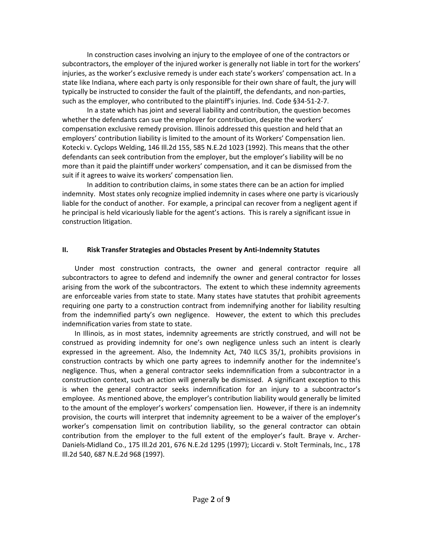In construction cases involving an injury to the employee of one of the contractors or subcontractors, the employer of the injured worker is generally not liable in tort for the workers' injuries, as the worker's exclusive remedy is under each state's workers' compensation act. In a state like Indiana, where each party is only responsible for their own share of fault, the jury will typically be instructed to consider the fault of the plaintiff, the defendants, and non-parties, such as the employer, who contributed to the plaintiff's injuries. Ind. Code §34-51-2-7.

In a state which has joint and several liability and contribution, the question becomes whether the defendants can sue the employer for contribution, despite the workers' compensation exclusive remedy provision. Illinois addressed this question and held that an employers' contribution liability is limited to the amount of its Workers' Compensation lien. Kotecki v. Cyclops Welding, 146 Ill.2d 155, 585 N.E.2d 1023 (1992). This means that the other defendants can seek contribution from the employer, but the employer's liability will be no more than it paid the plaintiff under workers' compensation, and it can be dismissed from the suit if it agrees to waive its workers' compensation lien.

In addition to contribution claims, in some states there can be an action for implied indemnity. Most states only recognize implied indemnity in cases where one party is vicariously liable for the conduct of another. For example, a principal can recover from a negligent agent if he principal is held vicariously liable for the agent's actions. This is rarely a significant issue in construction litigation.

### **II. Risk Transfer Strategies and Obstacles Present by Anti-Indemnity Statutes**

Under most construction contracts, the owner and general contractor require all subcontractors to agree to defend and indemnify the owner and general contractor for losses arising from the work of the subcontractors. The extent to which these indemnity agreements are enforceable varies from state to state. Many states have statutes that prohibit agreements requiring one party to a construction contract from indemnifying another for liability resulting from the indemnified party's own negligence. However, the extent to which this precludes indemnification varies from state to state.

In Illinois, as in most states, indemnity agreements are strictly construed, and will not be construed as providing indemnity for one's own negligence unless such an intent is clearly expressed in the agreement. Also, the Indemnity Act, 740 ILCS 35/1, prohibits provisions in construction contracts by which one party agrees to indemnify another for the indemnitee's negligence. Thus, when a general contractor seeks indemnification from a subcontractor in a construction context, such an action will generally be dismissed. A significant exception to this is when the general contractor seeks indemnification for an injury to a subcontractor's employee. As mentioned above, the employer's contribution liability would generally be limited to the amount of the employer's workers' compensation lien. However, if there is an indemnity provision, the courts will interpret that indemnity agreement to be a waiver of the employer's worker's compensation limit on contribution liability, so the general contractor can obtain contribution from the employer to the full extent of the employer's fault. Braye v. Archer-Daniels-Midland Co., 175 Ill.2d 201, 676 N.E.2d 1295 (1997); Liccardi v. Stolt Terminals, Inc., 178 Ill.2d 540, 687 N.E.2d 968 (1997).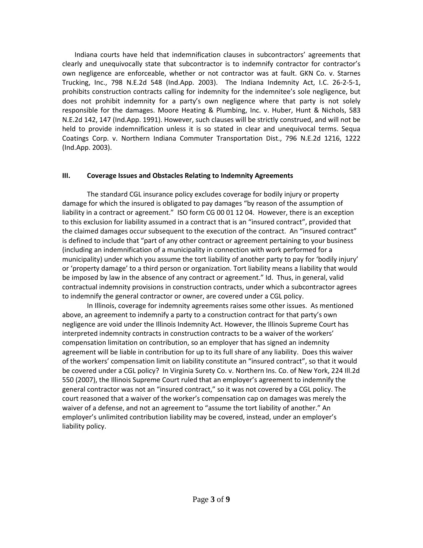Indiana courts have held that indemnification clauses in subcontractors' agreements that clearly and unequivocally state that subcontractor is to indemnify contractor for contractor's own negligence are enforceable, whether or not contractor was at fault. GKN Co. v. Starnes Trucking, Inc., 798 N.E.2d 548 (Ind.App. 2003). The Indiana Indemnity Act, I.C. 26-2-5-1, prohibits construction contracts calling for indemnity for the indemnitee's sole negligence, but does not prohibit indemnity for a party's own negligence where that party is not solely responsible for the damages. Moore Heating & Plumbing, Inc. v. Huber, Hunt & Nichols, 583 N.E.2d 142, 147 (Ind.App. 1991). However, such clauses will be strictly construed, and will not be held to provide indemnification unless it is so stated in clear and unequivocal terms. Sequa Coatings Corp. v. Northern Indiana Commuter Transportation Dist., 796 N.E.2d 1216, 1222 (Ind.App. 2003).

### **III. Coverage Issues and Obstacles Relating to Indemnity Agreements**

The standard CGL insurance policy excludes coverage for bodily injury or property damage for which the insured is obligated to pay damages "by reason of the assumption of liability in a contract or agreement." ISO form CG 00 01 12 04. However, there is an exception to this exclusion for liability assumed in a contract that is an "insured contract", provided that the claimed damages occur subsequent to the execution of the contract. An "insured contract" is defined to include that "part of any other contract or agreement pertaining to your business (including an indemnification of a municipality in connection with work performed for a municipality) under which you assume the tort liability of another party to pay for 'bodily injury' or 'property damage' to a third person or organization. Tort liability means a liability that would be imposed by law in the absence of any contract or agreement." Id. Thus, in general, valid contractual indemnity provisions in construction contracts, under which a subcontractor agrees to indemnify the general contractor or owner, are covered under a CGL policy.

In Illinois, coverage for indemnity agreements raises some other issues. As mentioned above, an agreement to indemnify a party to a construction contract for that party's own negligence are void under the Illinois Indemnity Act. However, the Illinois Supreme Court has interpreted indemnity contracts in construction contracts to be a waiver of the workers' compensation limitation on contribution, so an employer that has signed an indemnity agreement will be liable in contribution for up to its full share of any liability. Does this waiver of the workers' compensation limit on liability constitute an "insured contract", so that it would be covered under a CGL policy? In Virginia Surety Co. v. Northern Ins. Co. of New York, 224 Ill.2d 550 (2007), the Illinois Supreme Court ruled that an employer's agreement to indemnify the general contractor was not an "insured contract," so it was not covered by a CGL policy. The court reasoned that a waiver of the worker's compensation cap on damages was merely the waiver of a defense, and not an agreement to "assume the tort liability of another." An employer's unlimited contribution liability may be covered, instead, under an employer's liability policy.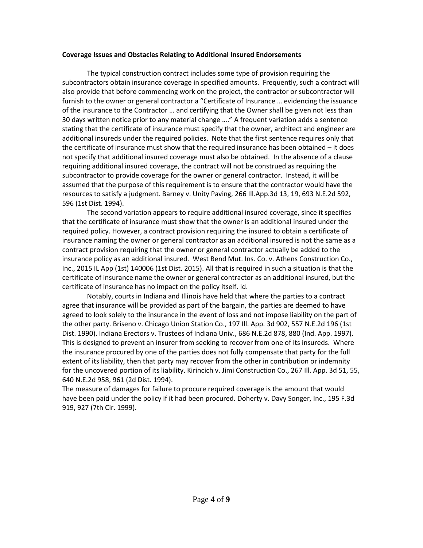#### **Coverage Issues and Obstacles Relating to Additional Insured Endorsements**

The typical construction contract includes some type of provision requiring the subcontractors obtain insurance coverage in specified amounts. Frequently, such a contract will also provide that before commencing work on the project, the contractor or subcontractor will furnish to the owner or general contractor a "Certificate of Insurance … evidencing the issuance of the insurance to the Contractor … and certifying that the Owner shall be given not less than 30 days written notice prior to any material change …." A frequent variation adds a sentence stating that the certificate of insurance must specify that the owner, architect and engineer are additional insureds under the required policies. Note that the first sentence requires only that the certificate of insurance must show that the required insurance has been obtained – it does not specify that additional insured coverage must also be obtained. In the absence of a clause requiring additional insured coverage, the contract will not be construed as requiring the subcontractor to provide coverage for the owner or general contractor. Instead, it will be assumed that the purpose of this requirement is to ensure that the contractor would have the resources to satisfy a judgment. Barney v. Unity Paving, 266 Ill.App.3d 13, 19, 693 N.E.2d 592, 596 (1st Dist. 1994).

The second variation appears to require additional insured coverage, since it specifies that the certificate of insurance must show that the owner is an additional insured under the required policy. However, a contract provision requiring the insured to obtain a certificate of insurance naming the owner or general contractor as an additional insured is not the same as a contract provision requiring that the owner or general contractor actually be added to the insurance policy as an additional insured. West Bend Mut. Ins. Co. v. Athens Construction Co., Inc., 2015 IL App (1st) 140006 (1st Dist. 2015). All that is required in such a situation is that the certificate of insurance name the owner or general contractor as an additional insured, but the certificate of insurance has no impact on the policy itself. Id.

Notably, courts in Indiana and Illinois have held that where the parties to a contract agree that insurance will be provided as part of the bargain, the parties are deemed to have agreed to look solely to the insurance in the event of loss and not impose liability on the part of the other party. Briseno v. Chicago Union Station Co., 197 Ill. App. 3d 902, 557 N.E.2d 196 (1st Dist. 1990). Indiana Erectors v. Trustees of Indiana Univ., 686 N.E.2d 878, 880 (Ind. App. 1997). This is designed to prevent an insurer from seeking to recover from one of its insureds. Where the insurance procured by one of the parties does not fully compensate that party for the full extent of its liability, then that party may recover from the other in contribution or indemnity for the uncovered portion of its liability. Kirincich v. Jimi Construction Co., 267 Ill. App. 3d 51, 55, 640 N.E.2d 958, 961 (2d Dist. 1994).

The measure of damages for failure to procure required coverage is the amount that would have been paid under the policy if it had been procured. Doherty v. Davy Songer, Inc., 195 F.3d 919, 927 (7th Cir. 1999).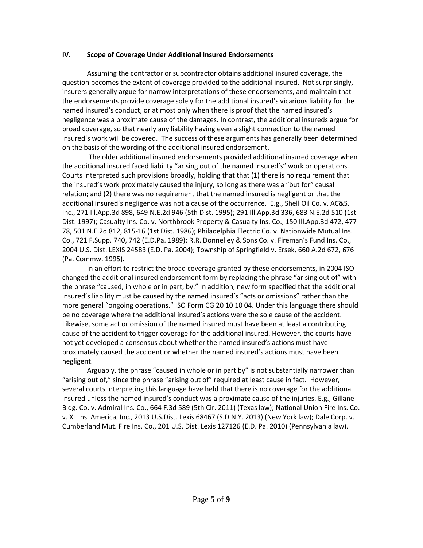#### **IV. Scope of Coverage Under Additional Insured Endorsements**

Assuming the contractor or subcontractor obtains additional insured coverage, the question becomes the extent of coverage provided to the additional insured. Not surprisingly, insurers generally argue for narrow interpretations of these endorsements, and maintain that the endorsements provide coverage solely for the additional insured's vicarious liability for the named insured's conduct, or at most only when there is proof that the named insured's negligence was a proximate cause of the damages. In contrast, the additional insureds argue for broad coverage, so that nearly any liability having even a slight connection to the named insured's work will be covered. The success of these arguments has generally been determined on the basis of the wording of the additional insured endorsement.

The older additional insured endorsements provided additional insured coverage when the additional insured faced liability "arising out of the named insured's" work or operations. Courts interpreted such provisions broadly, holding that that (1) there is no requirement that the insured's work proximately caused the injury, so long as there was a "but for" causal relation; and (2) there was no requirement that the named insured is negligent or that the additional insured's negligence was not a cause of the occurrence. E.g., Shell Oil Co. v. AC&S, Inc., 271 Ill.App.3d 898, 649 N.E.2d 946 (5th Dist. 1995); 291 Ill.App.3d 336, 683 N.E.2d 510 (1st Dist. 1997); Casualty Ins. Co. v. Northbrook Property & Casualty Ins. Co., 150 Ill.App.3d 472, 477- 78, 501 N.E.2d 812, 815-16 (1st Dist. 1986); Philadelphia Electric Co. v. Nationwide Mutual Ins. Co., 721 F.Supp. 740, 742 (E.D.Pa. 1989); R.R. Donnelley & Sons Co. v. Fireman's Fund Ins. Co., 2004 U.S. Dist. LEXIS 24583 (E.D. Pa. 2004); Township of Springfield v. Ersek, 660 A.2d 672, 676 (Pa. Commw. 1995).

In an effort to restrict the broad coverage granted by these endorsements, in 2004 ISO changed the additional insured endorsement form by replacing the phrase "arising out of" with the phrase "caused, in whole or in part, by." In addition, new form specified that the additional insured's liability must be caused by the named insured's "acts or omissions" rather than the more general "ongoing operations." ISO Form CG 20 10 10 04. Under this language there should be no coverage where the additional insured's actions were the sole cause of the accident. Likewise, some act or omission of the named insured must have been at least a contributing cause of the accident to trigger coverage for the additional insured. However, the courts have not yet developed a consensus about whether the named insured's actions must have proximately caused the accident or whether the named insured's actions must have been negligent.

Arguably, the phrase "caused in whole or in part by" is not substantially narrower than "arising out of," since the phrase "arising out of" required at least cause in fact. However, several courts interpreting this language have held that there is no coverage for the additional insured unless the named insured's conduct was a proximate cause of the injuries. E.g., Gillane Bldg. Co. v. Admiral Ins. Co., 664 F.3d 589 (5th Cir. 2011) (Texas law); National Union Fire Ins. Co. v. XL Ins. America, Inc., 2013 U.S.Dist. Lexis 68467 (S.D.N.Y. 2013) (New York law); Dale Corp. v. Cumberland Mut. Fire Ins. Co., 201 U.S. Dist. Lexis 127126 (E.D. Pa. 2010) (Pennsylvania law).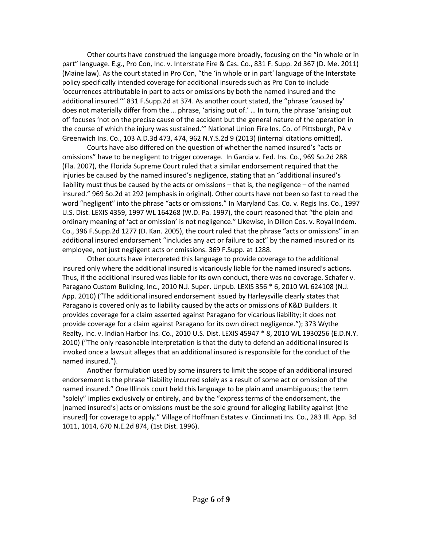Other courts have construed the language more broadly, focusing on the "in whole or in part" language. E.g., Pro Con, Inc. v. Interstate Fire & Cas. Co., 831 F. Supp. 2d 367 (D. Me. 2011) (Maine law). As the court stated in Pro Con, "the 'in whole or in part' language of the Interstate policy specifically intended coverage for additional insureds such as Pro Con to include 'occurrences attributable in part to acts or omissions by both the named insured and the additional insured.'" 831 F.Supp.2d at 374. As another court stated, the "phrase 'caused by' does not materially differ from the … phrase, 'arising out of.' … In turn, the phrase 'arising out of' focuses 'not on the precise cause of the accident but the general nature of the operation in the course of which the injury was sustained.'" National Union Fire Ins. Co. of Pittsburgh, PA v Greenwich Ins. Co., 103 A.D.3d 473, 474, 962 N.Y.S.2d 9 (2013) (internal citations omitted).

Courts have also differed on the question of whether the named insured's "acts or omissions" have to be negligent to trigger coverage. In Garcia v. Fed. Ins. Co., 969 So.2d 288 (Fla. 2007), the Florida Supreme Court ruled that a similar endorsement required that the injuries be caused by the named insured's negligence, stating that an "additional insured's liability must thus be caused by the acts or omissions – that is, the negligence – of the named insured." 969 So.2d at 292 (emphasis in original). Other courts have not been so fast to read the word "negligent" into the phrase "acts or omissions." In Maryland Cas. Co. v. Regis Ins. Co., 1997 U.S. Dist. LEXIS 4359, 1997 WL 164268 (W.D. Pa. 1997), the court reasoned that "the plain and ordinary meaning of 'act or omission' is not negligence." Likewise, in Dillon Cos. v. Royal Indem. Co., 396 F.Supp.2d 1277 (D. Kan. 2005), the court ruled that the phrase "acts or omissions" in an additional insured endorsement "includes any act or failure to act" by the named insured or its employee, not just negligent acts or omissions. 369 F.Supp. at 1288.

Other courts have interpreted this language to provide coverage to the additional insured only where the additional insured is vicariously liable for the named insured's actions. Thus, if the additional insured was liable for its own conduct, there was no coverage. Schafer v. Paragano Custom Building, Inc., 2010 N.J. Super. Unpub. LEXIS 356 \* 6, 2010 WL 624108 (N.J. App. 2010) ("The additional insured endorsement issued by Harleysville clearly states that Paragano is covered only as to liability caused by the acts or omissions of K&D Builders. It provides coverage for a claim asserted against Paragano for vicarious liability; it does not provide coverage for a claim against Paragano for its own direct negligence."); 373 Wythe Realty, Inc. v. Indian Harbor Ins. Co., 2010 U.S. Dist. LEXIS 45947 \* 8, 2010 WL 1930256 (E.D.N.Y. 2010) ("The only reasonable interpretation is that the duty to defend an additional insured is invoked once a lawsuit alleges that an additional insured is responsible for the conduct of the named insured.").

Another formulation used by some insurers to limit the scope of an additional insured endorsement is the phrase "liability incurred solely as a result of some act or omission of the named insured." One Illinois court held this language to be plain and unambiguous; the term "solely" implies exclusively or entirely, and by the "express terms of the endorsement, the [named insured's] acts or omissions must be the sole ground for alleging liability against [the insured] for coverage to apply." Village of Hoffman Estates v. Cincinnati Ins. Co., 283 Ill. App. 3d 1011, 1014, 670 N.E.2d 874, (1st Dist. 1996).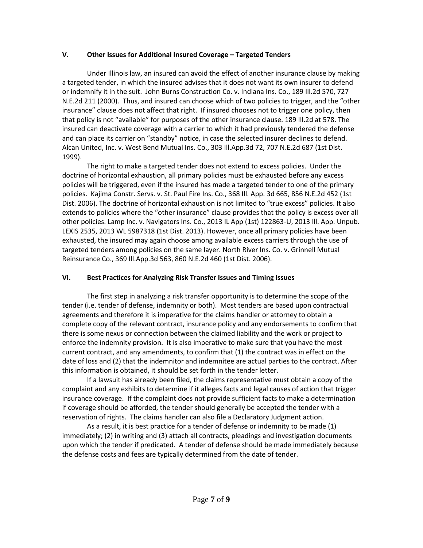### **V. Other Issues for Additional Insured Coverage – Targeted Tenders**

Under Illinois law, an insured can avoid the effect of another insurance clause by making a targeted tender, in which the insured advises that it does not want its own insurer to defend or indemnify it in the suit. John Burns Construction Co. v. Indiana Ins. Co., 189 Ill.2d 570, 727 N.E.2d 211 (2000). Thus, and insured can choose which of two policies to trigger, and the "other insurance" clause does not affect that right. If insured chooses not to trigger one policy, then that policy is not "available" for purposes of the other insurance clause. 189 Ill.2d at 578. The insured can deactivate coverage with a carrier to which it had previously tendered the defense and can place its carrier on "standby" notice, in case the selected insurer declines to defend. Alcan United, Inc. v. West Bend Mutual Ins. Co., 303 Ill.App.3d 72, 707 N.E.2d 687 (1st Dist. 1999).

The right to make a targeted tender does not extend to excess policies. Under the doctrine of horizontal exhaustion, all primary policies must be exhausted before any excess policies will be triggered, even if the insured has made a targeted tender to one of the primary policies. Kajima Constr. Servs. v. St. Paul Fire Ins. Co., 368 Ill. App. 3d 665, 856 N.E.2d 452 (1st Dist. 2006). The doctrine of horizontal exhaustion is not limited to "true excess" policies. It also extends to policies where the "other insurance" clause provides that the policy is excess over all other policies. Lamp Inc. v. Navigators Ins. Co., 2013 IL App (1st) 122863-U, 2013 Ill. App. Unpub. LEXIS 2535, 2013 WL 5987318 (1st Dist. 2013). However, once all primary policies have been exhausted, the insured may again choose among available excess carriers through the use of targeted tenders among policies on the same layer. North River Ins. Co. v. Grinnell Mutual Reinsurance Co., 369 Ill.App.3d 563, 860 N.E.2d 460 (1st Dist. 2006).

# **VI. Best Practices for Analyzing Risk Transfer Issues and Timing Issues**

The first step in analyzing a risk transfer opportunity is to determine the scope of the tender (i.e. tender of defense, indemnity or both). Most tenders are based upon contractual agreements and therefore it is imperative for the claims handler or attorney to obtain a complete copy of the relevant contract, insurance policy and any endorsements to confirm that there is some nexus or connection between the claimed liability and the work or project to enforce the indemnity provision. It is also imperative to make sure that you have the most current contract, and any amendments, to confirm that (1) the contract was in effect on the date of loss and (2) that the indemnitor and indemnitee are actual parties to the contract. After this information is obtained, it should be set forth in the tender letter.

If a lawsuit has already been filed, the claims representative must obtain a copy of the complaint and any exhibits to determine if it alleges facts and legal causes of action that trigger insurance coverage. If the complaint does not provide sufficient facts to make a determination if coverage should be afforded, the tender should generally be accepted the tender with a reservation of rights. The claims handler can also file a Declaratory Judgment action.

As a result, it is best practice for a tender of defense or indemnity to be made (1) immediately; (2) in writing and (3) attach all contracts, pleadings and investigation documents upon which the tender if predicated. A tender of defense should be made immediately because the defense costs and fees are typically determined from the date of tender.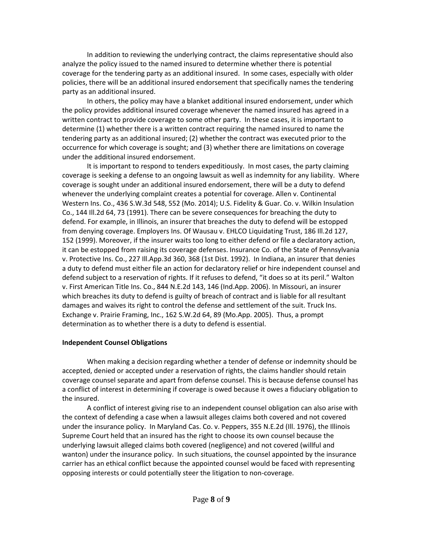In addition to reviewing the underlying contract, the claims representative should also analyze the policy issued to the named insured to determine whether there is potential coverage for the tendering party as an additional insured. In some cases, especially with older policies, there will be an additional insured endorsement that specifically names the tendering party as an additional insured.

In others, the policy may have a blanket additional insured endorsement, under which the policy provides additional insured coverage whenever the named insured has agreed in a written contract to provide coverage to some other party. In these cases, it is important to determine (1) whether there is a written contract requiring the named insured to name the tendering party as an additional insured; (2) whether the contract was executed prior to the occurrence for which coverage is sought; and (3) whether there are limitations on coverage under the additional insured endorsement.

It is important to respond to tenders expeditiously. In most cases, the party claiming coverage is seeking a defense to an ongoing lawsuit as well as indemnity for any liability. Where coverage is sought under an additional insured endorsement, there will be a duty to defend whenever the underlying complaint creates a potential for coverage. Allen v. Continental Western Ins. Co., 436 S.W.3d 548, 552 (Mo. 2014); U.S. Fidelity & Guar. Co. v. Wilkin Insulation Co., 144 Ill.2d 64, 73 (1991). There can be severe consequences for breaching the duty to defend. For example, in Illinois, an insurer that breaches the duty to defend will be estopped from denying coverage. Employers Ins. Of Wausau v. EHLCO Liquidating Trust, 186 Ill.2d 127, 152 (1999). Moreover, if the insurer waits too long to either defend or file a declaratory action, it can be estopped from raising its coverage defenses. Insurance Co. of the State of Pennsylvania v. Protective Ins. Co., 227 Ill.App.3d 360, 368 (1st Dist. 1992). In Indiana, an insurer that denies a duty to defend must either file an action for declaratory relief or hire independent counsel and defend subject to a reservation of rights. If it refuses to defend, "it does so at its peril." Walton v. First American Title Ins. Co., 844 N.E.2d 143, 146 (Ind.App. 2006). In Missouri, an insurer which breaches its duty to defend is guilty of breach of contract and is liable for all resultant damages and waives its right to control the defense and settlement of the suit. Truck Ins. Exchange v. Prairie Framing, Inc., 162 S.W.2d 64, 89 (Mo.App. 2005). Thus, a prompt determination as to whether there is a duty to defend is essential.

# **Independent Counsel Obligations**

When making a decision regarding whether a tender of defense or indemnity should be accepted, denied or accepted under a reservation of rights, the claims handler should retain coverage counsel separate and apart from defense counsel. This is because defense counsel has a conflict of interest in determining if coverage is owed because it owes a fiduciary obligation to the insured.

A conflict of interest giving rise to an independent counsel obligation can also arise with the context of defending a case when a lawsuit alleges claims both covered and not covered under the insurance policy. In Maryland Cas. Co. v. Peppers, 355 N.E.2d (Ill. 1976), the Illinois Supreme Court held that an insured has the right to choose its own counsel because the underlying lawsuit alleged claims both covered (negligence) and not covered (willful and wanton) under the insurance policy. In such situations, the counsel appointed by the insurance carrier has an ethical conflict because the appointed counsel would be faced with representing opposing interests or could potentially steer the litigation to non-coverage.